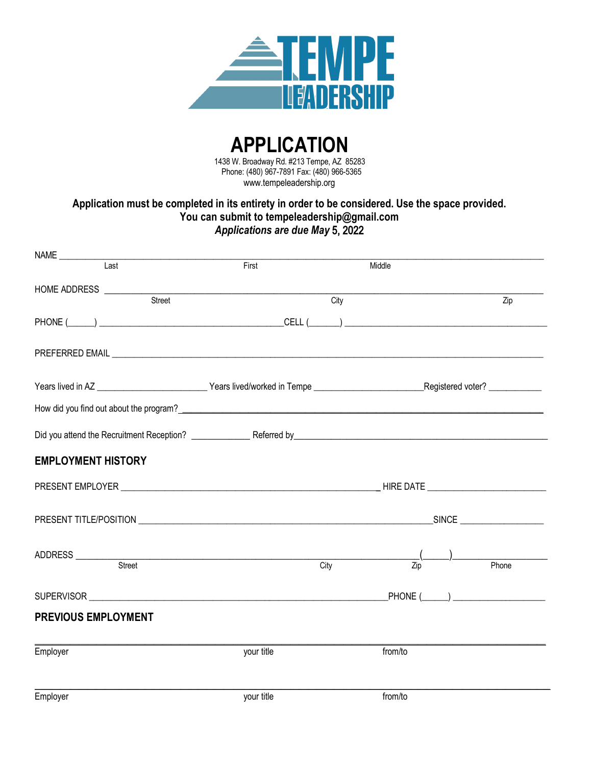

**APPLICATION** 1438 W. Broadway Rd. #213 Tempe, AZ 85283 Phone: (480) 967-7891 Fax: (480) 966-5365 www.tempeleadership.org

### **Application must be completed in its entirety in order to be considered. Use the space provided. You can submit to tempeleadership@gmail.com**  *Applications are due May* 5, 2022

| Last                                     | First      | Middle  |                      |
|------------------------------------------|------------|---------|----------------------|
| HOME ADDRESS _________________<br>Street |            |         |                      |
|                                          |            | City    | Zip                  |
|                                          |            |         |                      |
|                                          |            |         |                      |
|                                          |            |         |                      |
|                                          |            |         |                      |
|                                          |            |         |                      |
| <b>EMPLOYMENT HISTORY</b>                |            |         |                      |
|                                          |            |         |                      |
|                                          |            |         |                      |
|                                          |            |         |                      |
| Street                                   | City       | Zip     | Phone                |
| SUPERVISOR <b>Example 2008</b>           |            |         | $PHONE$ ( $\qquad$ ) |
| <b>PREVIOUS EMPLOYMENT</b>               |            |         |                      |
| Employer                                 | your title | from/to |                      |
| Employer                                 | vour title | from/to |                      |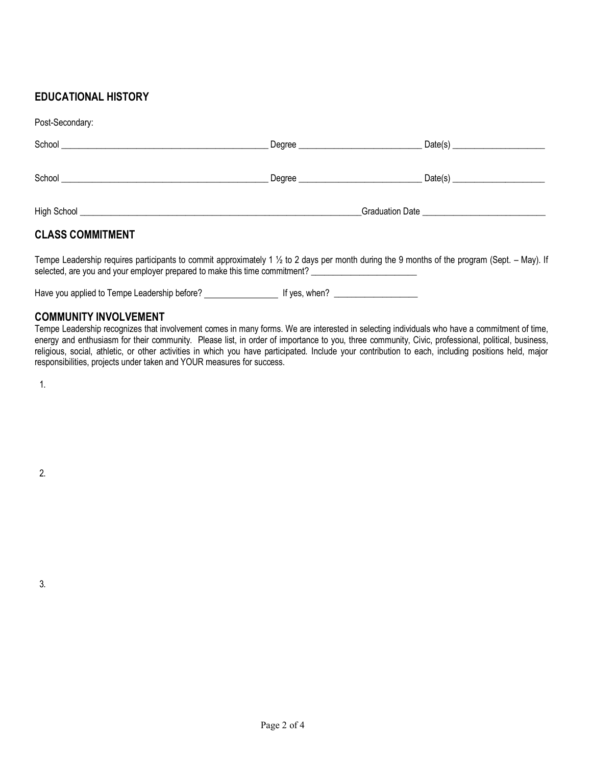## **EDUCATIONAL HISTORY**

Post-Secondary:

| <b>UV.</b> OUGUIGALY.   |                                    |                                  |
|-------------------------|------------------------------------|----------------------------------|
|                         | Degree ___________________________ | Date(s) ________________________ |
|                         |                                    |                                  |
|                         |                                    | Date(s) $\frac{1}{2}$            |
|                         |                                    |                                  |
|                         |                                    |                                  |
| <b>CLASS COMMITMENT</b> |                                    |                                  |

Tempe Leadership requires participants to commit approximately 1 ½ to 2 days per month during the 9 months of the program (Sept. – May). If selected, are you and your employer prepared to make this time commitment? \_\_\_\_\_\_\_\_\_\_\_\_\_\_\_\_\_\_\_\_\_\_\_\_

Have you applied to Tempe Leadership before? \_\_\_\_\_\_\_\_\_\_\_\_\_\_\_\_\_\_\_\_\_\_\_\_\_\_\_\_\_\_\_\_\_\_\_

#### **COMMUNITY INVOLVEMENT**

Tempe Leadership recognizes that involvement comes in many forms. We are interested in selecting individuals who have a commitment of time, energy and enthusiasm for their community. Please list, in order of importance to you, three community, Civic, professional, political, business, religious, social, athletic, or other activities in which you have participated. Include your contribution to each, including positions held, major responsibilities, projects under taken and YOUR measures for success.

1.

2.

3.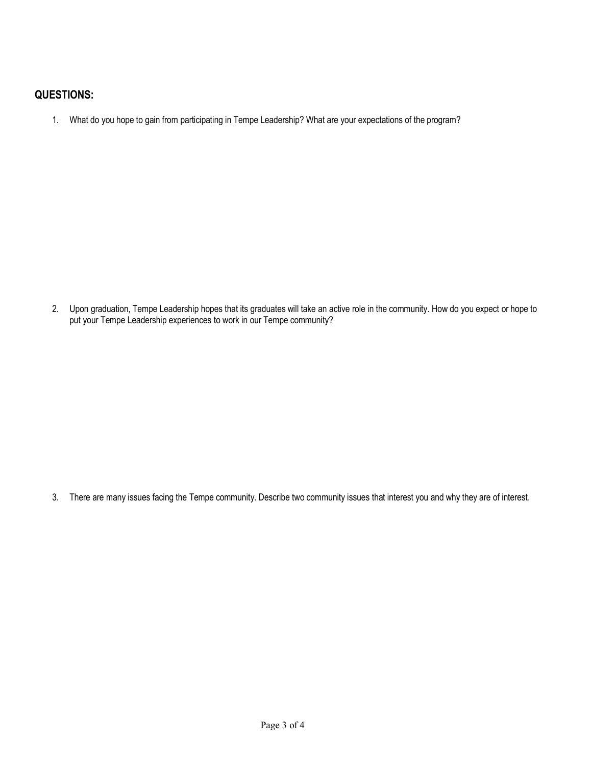## **QUESTIONS:**

1. What do you hope to gain from participating in Tempe Leadership? What are your expectations of the program?

2. Upon graduation, Tempe Leadership hopes that its graduates will take an active role in the community. How do you expect or hope to put your Tempe Leadership experiences to work in our Tempe community?

3. There are many issues facing the Tempe community. Describe two community issues that interest you and why they are of interest.